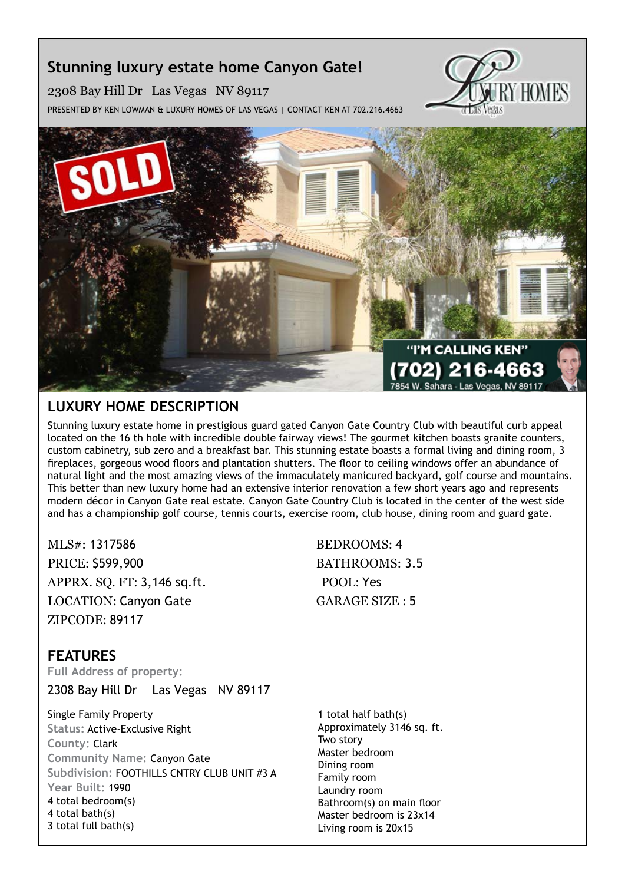# **Stunning luxury estate home Canyon Gate!**

2308 Bay Hill Dr Las Vegas NV 89117

Presented by Ken Lowman & Luxury Homes of Las Vegas | Contact Ken at 702.216.4663





# **Luxury Home description**

Stunning luxury estate home in prestigious guard gated Canyon Gate Country Club with beautiful curb appeal located on the 16 th hole with incredible double fairway views! The gourmet kitchen boasts granite counters, custom cabinetry, sub zero and a breakfast bar. This stunning estate boasts a formal living and dining room, 3 fireplaces, gorgeous wood floors and plantation shutters. The floor to ceiling windows offer an abundance of natural light and the most amazing views of the immaculately manicured backyard, golf course and mountains. This better than new luxury home had an extensive interior renovation a few short years ago and represents modern décor in Canyon Gate real estate. Canyon Gate Country Club is located in the center of the west side and has a championship golf course, tennis courts, exercise room, club house, dining room and guard gate.

MLS#: 1317586 BEDROOMS: 4 PRICE: \$599,900 BATHROOMS: 3.5 APPRX. SO. FT: 3,146 sq.ft. POOL: Yes LOCATION: Canyon Gate GARAGE SIZE : 5 ZIPCODE: 89117

### **features Full Address of property:**

2308 Bay Hill Dr Las Vegas NV 89117

Single Family Property **Status:** Active-Exclusive Right **County:** Clark **Community Name:** Canyon Gate **Subdivision:** FOOTHILLS CNTRY CLUB UNIT #3 A **Year Built:** 1990 4 total bedroom(s) 4 total bath(s) 3 total full bath(s)

1 total half bath(s) Approximately 3146 sq. ft. Two story Master bedroom Dining room Family room Laundry room Bathroom(s) on main floor Master bedroom is 23x14 Living room is 20x15